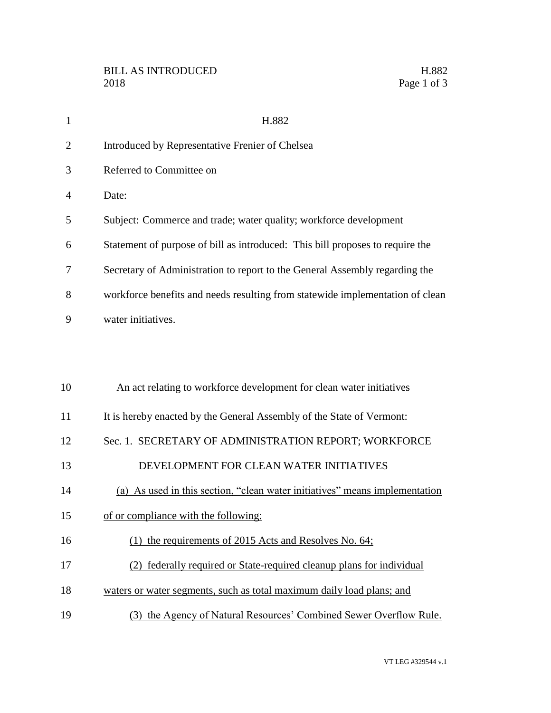| $\mathbf{1}$   | H.882                                                                         |
|----------------|-------------------------------------------------------------------------------|
| $\overline{2}$ | Introduced by Representative Frenier of Chelsea                               |
| 3              | Referred to Committee on                                                      |
| 4              | Date:                                                                         |
| 5              | Subject: Commerce and trade; water quality; workforce development             |
| 6              | Statement of purpose of bill as introduced: This bill proposes to require the |
| 7              | Secretary of Administration to report to the General Assembly regarding the   |
| 8              | workforce benefits and needs resulting from statewide implementation of clean |
| 9              | water initiatives.                                                            |
|                |                                                                               |
|                |                                                                               |
| 10             | An act relating to workforce development for clean water initiatives          |
| 11             | It is hereby enacted by the General Assembly of the State of Vermont:         |
| 12             | Sec. 1. SECRETARY OF ADMINISTRATION REPORT; WORKFORCE                         |
| 13             | DEVELOPMENT FOR CLEAN WATER INITIATIVES                                       |
| 14             | (a) As used in this section, "clean water initiatives" means implementation   |
| 15             | of or compliance with the following:                                          |
| 16             | (1) the requirements of 2015 Acts and Resolves No. $64$ ;                     |
| 17             | (2) federally required or State-required cleanup plans for individual         |
| 18             | waters or water segments, such as total maximum daily load plans; and         |
| 19             | (3) the Agency of Natural Resources' Combined Sewer Overflow Rule.            |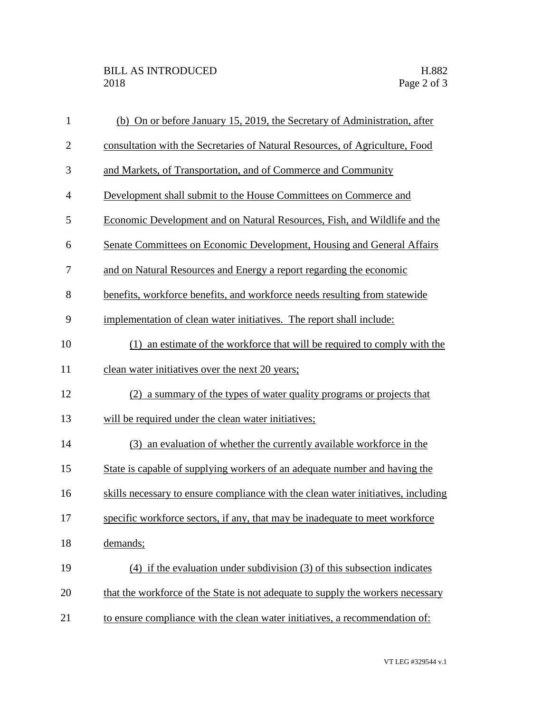| $\mathbf{1}$   | (b) On or before January 15, 2019, the Secretary of Administration, after         |
|----------------|-----------------------------------------------------------------------------------|
| $\overline{2}$ | consultation with the Secretaries of Natural Resources, of Agriculture, Food      |
| 3              | and Markets, of Transportation, and of Commerce and Community                     |
| $\overline{4}$ | Development shall submit to the House Committees on Commerce and                  |
| 5              | Economic Development and on Natural Resources, Fish, and Wildlife and the         |
| 6              | Senate Committees on Economic Development, Housing and General Affairs            |
| 7              | and on Natural Resources and Energy a report regarding the economic               |
| 8              | benefits, workforce benefits, and workforce needs resulting from statewide        |
| 9              | implementation of clean water initiatives. The report shall include:              |
| 10             | (1) an estimate of the workforce that will be required to comply with the         |
| 11             | clean water initiatives over the next 20 years;                                   |
| 12             | (2) a summary of the types of water quality programs or projects that             |
| 13             | will be required under the clean water initiatives;                               |
| 14             | (3) an evaluation of whether the currently available workforce in the             |
| 15             | State is capable of supplying workers of an adequate number and having the        |
| 16             | skills necessary to ensure compliance with the clean water initiatives, including |
| 17             | specific workforce sectors, if any, that may be inadequate to meet workforce      |
| 18             | demands;                                                                          |
| 19             | (4) if the evaluation under subdivision (3) of this subsection indicates          |
| 20             | that the workforce of the State is not adequate to supply the workers necessary   |
| 21             | to ensure compliance with the clean water initiatives, a recommendation of:       |